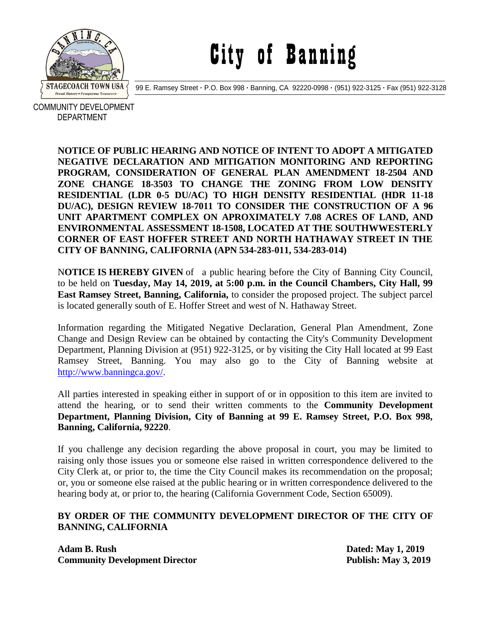

# City of Banning

99 E. Ramsey Street **·** P.O. Box 998 **·** Banning, CA 92220-0998 **·** (951) 922-3125 **·** Fax (951) 922-3128

 COMMUNITY DEVELOPMENT DEPARTMENT

> **NOTICE OF PUBLIC HEARING AND NOTICE OF INTENT TO ADOPT A MITIGATED NEGATIVE DECLARATION AND MITIGATION MONITORING AND REPORTING PROGRAM, CONSIDERATION OF GENERAL PLAN AMENDMENT 18-2504 AND ZONE CHANGE 18-3503 TO CHANGE THE ZONING FROM LOW DENSITY RESIDENTIAL (LDR 0-5 DU/AC) TO HIGH DENSITY RESIDENTIAL (HDR 11-18 DU/AC), DESIGN REVIEW 18-7011 TO CONSIDER THE CONSTRUCTION OF A 96 UNIT APARTMENT COMPLEX ON APROXIMATELY 7.08 ACRES OF LAND, AND ENVIRONMENTAL ASSESSMENT 18-1508, LOCATED AT THE SOUTHWWESTERLY CORNER OF EAST HOFFER STREET AND NORTH HATHAWAY STREET IN THE CITY OF BANNING, CALIFORNIA (APN 534-283-011, 534-283-014)**

> N**OTICE IS HEREBY GIVEN** of a public hearing before the City of Banning City Council, to be held on **Tuesday, May 14, 2019, at 5:00 p.m. in the Council Chambers, City Hall, 99 East Ramsey Street, Banning, California,** to consider the proposed project. The subject parcel is located generally south of E. Hoffer Street and west of N. Hathaway Street.

> Information regarding the Mitigated Negative Declaration, General Plan Amendment, Zone Change and Design Review can be obtained by contacting the City's Community Development Department, Planning Division at (951) 922-3125, or by visiting the City Hall located at 99 East Ramsey Street, Banning. You may also go to the City of Banning website at [http://www.banningca.gov/.](http://www.banningca.gov/)

> All parties interested in speaking either in support of or in opposition to this item are invited to attend the hearing, or to send their written comments to the **Community Development Department, Planning Division, City of Banning at 99 E. Ramsey Street, P.O. Box 998, Banning, California, 92220**.

> If you challenge any decision regarding the above proposal in court, you may be limited to raising only those issues you or someone else raised in written correspondence delivered to the City Clerk at, or prior to, the time the City Council makes its recommendation on the proposal; or, you or someone else raised at the public hearing or in written correspondence delivered to the hearing body at, or prior to, the hearing (California Government Code, Section 65009).

#### **BY ORDER OF THE COMMUNITY DEVELOPMENT DIRECTOR OF THE CITY OF BANNING, CALIFORNIA**

**Adam B. Rush Dated: May 1, 2019 Community Development Director Publish: May 3, 2019**